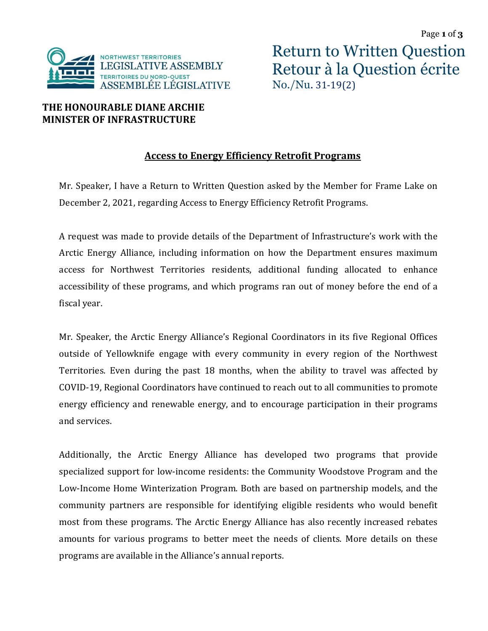

## **THE HONOURABLE DIANE ARCHIE MINISTER OF INFRASTRUCTURE**

## **Access to Energy Efficiency Retrofit Programs**

Mr. Speaker, I have a Return to Written Question asked by the Member for Frame Lake on December 2, 2021, regarding Access to Energy Efficiency Retrofit Programs.

A request was made to provide details of the Department of Infrastructure's work with the Arctic Energy Alliance, including information on how the Department ensures maximum access for Northwest Territories residents, additional funding allocated to enhance accessibility of these programs, and which programs ran out of money before the end of a fiscal year.

Mr. Speaker, the Arctic Energy Alliance's Regional Coordinators in its five Regional Offices outside of Yellowknife engage with every community in every region of the Northwest Territories. Even during the past 18 months, when the ability to travel was affected by COVID-19, Regional Coordinators have continued to reach out to all communities to promote energy efficiency and renewable energy, and to encourage participation in their programs and services.

Additionally, the Arctic Energy Alliance has developed two programs that provide specialized support for low-income residents: the Community Woodstove Program and the Low-Income Home Winterization Program. Both are based on partnership models, and the community partners are responsible for identifying eligible residents who would benefit most from these programs. The Arctic Energy Alliance has also recently increased rebates amounts for various programs to better meet the needs of clients. More details on these programs are available in the Alliance's annual reports.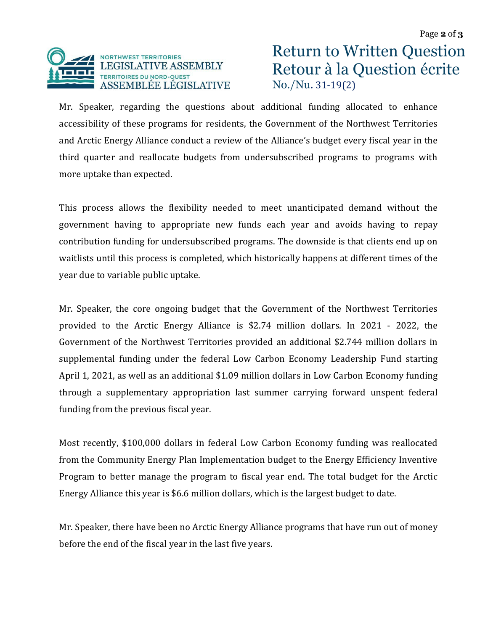

Return to Written Question Retour à la Question écrite No./Nu. 31-19(2)

Mr. Speaker, regarding the questions about additional funding allocated to enhance accessibility of these programs for residents, the Government of the Northwest Territories and Arctic Energy Alliance conduct a review of the Alliance's budget every fiscal year in the third quarter and reallocate budgets from undersubscribed programs to programs with more uptake than expected.

This process allows the flexibility needed to meet unanticipated demand without the government having to appropriate new funds each year and avoids having to repay contribution funding for undersubscribed programs. The downside is that clients end up on waitlists until this process is completed, which historically happens at different times of the year due to variable public uptake.

Mr. Speaker, the core ongoing budget that the Government of the Northwest Territories provided to the Arctic Energy Alliance is \$2.74 million dollars. In 2021 - 2022, the Government of the Northwest Territories provided an additional \$2.744 million dollars in supplemental funding under the federal Low Carbon Economy Leadership Fund starting April 1, 2021, as well as an additional \$1.09 million dollars in Low Carbon Economy funding through a supplementary appropriation last summer carrying forward unspent federal funding from the previous fiscal year.

Most recently, \$100,000 dollars in federal Low Carbon Economy funding was reallocated from the Community Energy Plan Implementation budget to the Energy Efficiency Inventive Program to better manage the program to fiscal year end. The total budget for the Arctic Energy Alliance this year is \$6.6 million dollars, which is the largest budget to date.

Mr. Speaker, there have been no Arctic Energy Alliance programs that have run out of money before the end of the fiscal year in the last five years.